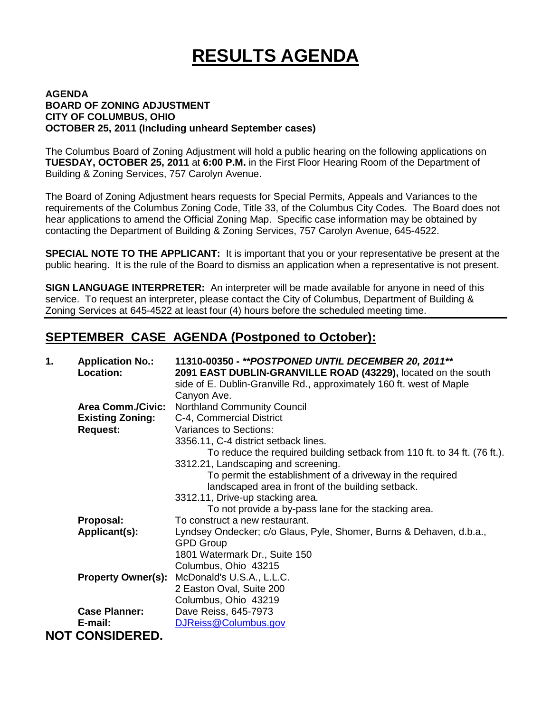# **RESULTS AGENDA**

#### **AGENDA BOARD OF ZONING ADJUSTMENT CITY OF COLUMBUS, OHIO OCTOBER 25, 2011 (Including unheard September cases)**

The Columbus Board of Zoning Adjustment will hold a public hearing on the following applications on **TUESDAY, OCTOBER 25, 2011** at **6:00 P.M.** in the First Floor Hearing Room of the Department of Building & Zoning Services, 757 Carolyn Avenue.

The Board of Zoning Adjustment hears requests for Special Permits, Appeals and Variances to the requirements of the Columbus Zoning Code, Title 33, of the Columbus City Codes. The Board does not hear applications to amend the Official Zoning Map. Specific case information may be obtained by contacting the Department of Building & Zoning Services, 757 Carolyn Avenue, 645-4522.

**SPECIAL NOTE TO THE APPLICANT:** It is important that you or your representative be present at the public hearing. It is the rule of the Board to dismiss an application when a representative is not present.

**SIGN LANGUAGE INTERPRETER:** An interpreter will be made available for anyone in need of this service. To request an interpreter, please contact the City of Columbus, Department of Building & Zoning Services at 645-4522 at least four (4) hours before the scheduled meeting time.

### **SEPTEMBER CASE AGENDA (Postponed to October):**

| 2091 EAST DUBLIN-GRANVILLE ROAD (43229), located on the south            |
|--------------------------------------------------------------------------|
|                                                                          |
|                                                                          |
|                                                                          |
|                                                                          |
|                                                                          |
|                                                                          |
|                                                                          |
| To reduce the required building setback from 110 ft. to 34 ft. (76 ft.). |
|                                                                          |
|                                                                          |
|                                                                          |
|                                                                          |
|                                                                          |
|                                                                          |
| Lyndsey Ondecker; c/o Glaus, Pyle, Shomer, Burns & Dehaven, d.b.a.,      |
|                                                                          |
|                                                                          |
|                                                                          |
|                                                                          |
|                                                                          |
|                                                                          |
|                                                                          |
|                                                                          |
|                                                                          |
|                                                                          |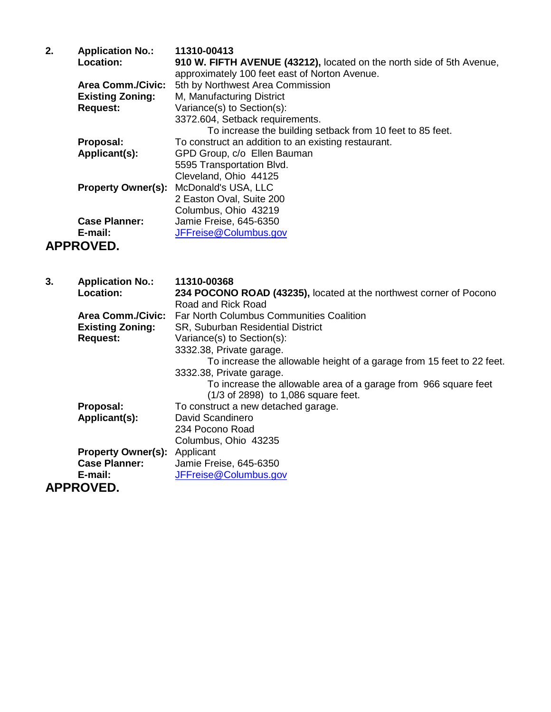| 2. | <b>Application No.:</b>  | 11310-00413                                                           |
|----|--------------------------|-----------------------------------------------------------------------|
|    | Location:                | 910 W. FIFTH AVENUE (43212), located on the north side of 5th Avenue, |
|    |                          | approximately 100 feet east of Norton Avenue.                         |
|    | <b>Area Comm./Civic:</b> | 5th by Northwest Area Commission                                      |
|    | <b>Existing Zoning:</b>  | M, Manufacturing District                                             |
|    | <b>Request:</b>          | Variance(s) to Section(s):                                            |
|    |                          | 3372.604, Setback requirements.                                       |
|    |                          | To increase the building setback from 10 feet to 85 feet.             |
|    | Proposal:                | To construct an addition to an existing restaurant.                   |
|    | Applicant(s):            | GPD Group, c/o Ellen Bauman                                           |
|    |                          | 5595 Transportation Blvd.                                             |
|    |                          | Cleveland, Ohio 44125                                                 |
|    |                          | <b>Property Owner(s): McDonald's USA, LLC</b>                         |
|    |                          | 2 Easton Oval, Suite 200                                              |
|    |                          | Columbus, Ohio 43219                                                  |
|    | <b>Case Planner:</b>     | Jamie Freise, 645-6350                                                |
|    | E-mail:                  | JFFreise@Columbus.gov                                                 |
|    |                          |                                                                       |

#### **APPROVED.**

| 3. | <b>Application No.:</b>             | 11310-00368                                                           |
|----|-------------------------------------|-----------------------------------------------------------------------|
|    | Location:                           | 234 POCONO ROAD (43235), located at the northwest corner of Pocono    |
|    |                                     | Road and Rick Road                                                    |
|    | <b>Area Comm./Civic:</b>            | <b>Far North Columbus Communities Coalition</b>                       |
|    | <b>Existing Zoning:</b>             | SR, Suburban Residential District                                     |
|    | <b>Request:</b>                     | Variance(s) to Section(s):                                            |
|    |                                     | 3332.38, Private garage.                                              |
|    |                                     | To increase the allowable height of a garage from 15 feet to 22 feet. |
|    |                                     | 3332.38, Private garage.                                              |
|    |                                     | To increase the allowable area of a garage from 966 square feet       |
|    |                                     | (1/3 of 2898) to 1,086 square feet.                                   |
|    | Proposal:                           | To construct a new detached garage.                                   |
|    | Applicant(s):                       | David Scandinero                                                      |
|    |                                     | 234 Pocono Road                                                       |
|    |                                     | Columbus, Ohio 43235                                                  |
|    | <b>Property Owner(s):</b> Applicant |                                                                       |
|    | <b>Case Planner:</b>                | Jamie Freise, 645-6350                                                |
|    | E-mail:                             | JFFreise@Columbus.gov                                                 |
|    | <b>APPROVED.</b>                    |                                                                       |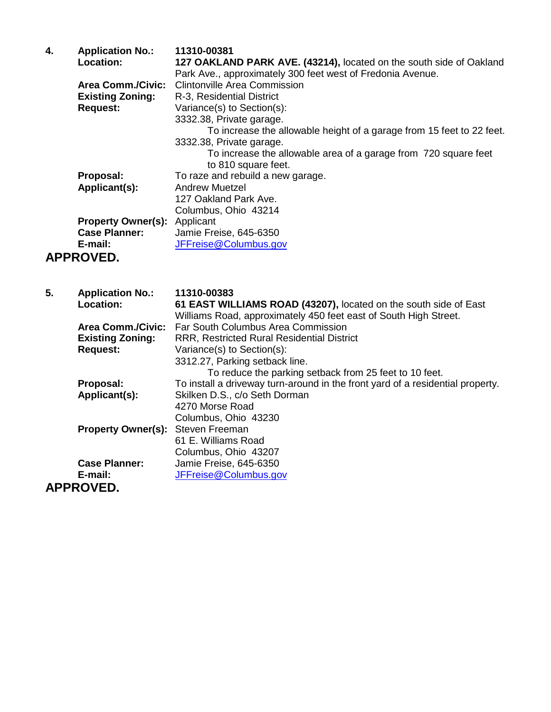| 4. | <b>Application No.:</b>   | 11310-00381                                                           |
|----|---------------------------|-----------------------------------------------------------------------|
|    | <b>Location:</b>          | 127 OAKLAND PARK AVE. (43214), located on the south side of Oakland   |
|    |                           | Park Ave., approximately 300 feet west of Fredonia Avenue.            |
|    | <b>Area Comm./Civic:</b>  | <b>Clintonville Area Commission</b>                                   |
|    | <b>Existing Zoning:</b>   | R-3, Residential District                                             |
|    | <b>Request:</b>           | Variance(s) to Section(s):                                            |
|    |                           | 3332.38, Private garage.                                              |
|    |                           | To increase the allowable height of a garage from 15 feet to 22 feet. |
|    |                           | 3332.38, Private garage.                                              |
|    |                           | To increase the allowable area of a garage from 720 square feet       |
|    |                           | to 810 square feet.                                                   |
|    | Proposal:                 | To raze and rebuild a new garage.                                     |
|    | Applicant(s):             | <b>Andrew Muetzel</b>                                                 |
|    |                           | 127 Oakland Park Ave.                                                 |
|    |                           | Columbus, Ohio 43214                                                  |
|    | <b>Property Owner(s):</b> | Applicant                                                             |
|    | <b>Case Planner:</b>      | Jamie Freise, 645-6350                                                |
|    | E-mail:                   | JFFreise@Columbus.gov                                                 |
|    | <b>APPROVED.</b>          |                                                                       |

| 5. | <b>Application No.:</b>   | 11310-00383                                                                    |
|----|---------------------------|--------------------------------------------------------------------------------|
|    | <b>Location:</b>          | 61 EAST WILLIAMS ROAD (43207), located on the south side of East               |
|    |                           | Williams Road, approximately 450 feet east of South High Street.               |
|    | <b>Area Comm./Civic:</b>  | Far South Columbus Area Commission                                             |
|    | <b>Existing Zoning:</b>   | <b>RRR, Restricted Rural Residential District</b>                              |
|    | <b>Request:</b>           | Variance(s) to Section(s):                                                     |
|    |                           | 3312.27, Parking setback line.                                                 |
|    |                           | To reduce the parking setback from 25 feet to 10 feet.                         |
|    | Proposal:                 | To install a driveway turn-around in the front yard of a residential property. |
|    | Applicant(s):             | Skilken D.S., c/o Seth Dorman                                                  |
|    |                           | 4270 Morse Road                                                                |
|    |                           | Columbus, Ohio 43230                                                           |
|    | <b>Property Owner(s):</b> | Steven Freeman                                                                 |
|    |                           | 61 E. Williams Road                                                            |
|    |                           | Columbus, Ohio 43207                                                           |
|    | <b>Case Planner:</b>      | Jamie Freise, 645-6350                                                         |
|    | E-mail:                   | JFFreise@Columbus.gov                                                          |
|    | <b>APPROVED.</b>          |                                                                                |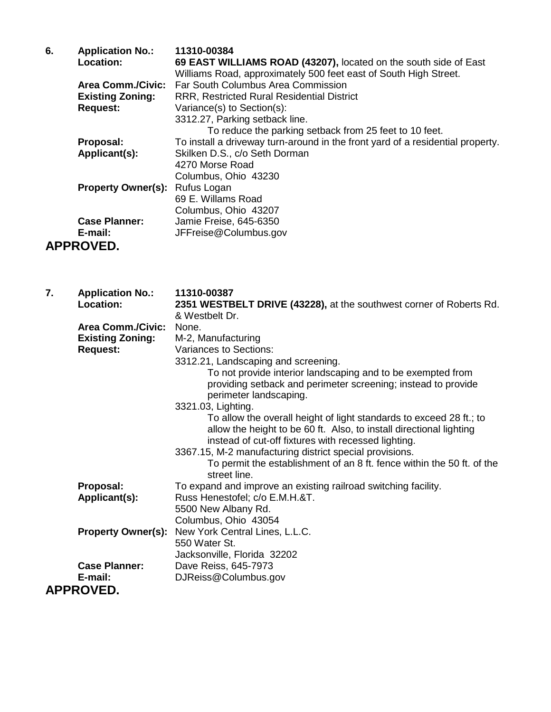| 6. | <b>Application No.:</b>               | 11310-00384                                                                    |
|----|---------------------------------------|--------------------------------------------------------------------------------|
|    | Location:                             | 69 EAST WILLIAMS ROAD (43207), located on the south side of East               |
|    |                                       | Williams Road, approximately 500 feet east of South High Street.               |
|    | <b>Area Comm./Civic:</b>              | Far South Columbus Area Commission                                             |
|    | <b>Existing Zoning:</b>               | <b>RRR, Restricted Rural Residential District</b>                              |
|    | <b>Request:</b>                       | Variance(s) to Section(s):                                                     |
|    |                                       | 3312.27, Parking setback line.                                                 |
|    |                                       | To reduce the parking setback from 25 feet to 10 feet.                         |
|    | Proposal:                             | To install a driveway turn-around in the front yard of a residential property. |
|    | Applicant(s):                         | Skilken D.S., c/o Seth Dorman                                                  |
|    |                                       | 4270 Morse Road                                                                |
|    |                                       | Columbus, Ohio 43230                                                           |
|    | <b>Property Owner(s): Rufus Logan</b> |                                                                                |
|    |                                       | 69 E. Willams Road                                                             |
|    |                                       | Columbus, Ohio 43207                                                           |
|    | <b>Case Planner:</b>                  | Jamie Freise, 645-6350                                                         |
|    | E-mail:                               | JFFreise@Columbus.gov                                                          |
|    | <b>APPROVED.</b>                      |                                                                                |

| 7. | <b>Application No.:</b><br><b>Location:</b> | 11310-00387<br>2351 WESTBELT DRIVE (43228), at the southwest corner of Roberts Rd.<br>& Westbelt Dr.                                                                                              |
|----|---------------------------------------------|---------------------------------------------------------------------------------------------------------------------------------------------------------------------------------------------------|
|    | <b>Area Comm./Civic:</b>                    | None.                                                                                                                                                                                             |
|    | <b>Existing Zoning:</b>                     | M-2, Manufacturing                                                                                                                                                                                |
|    | <b>Request:</b>                             | Variances to Sections:                                                                                                                                                                            |
|    |                                             | 3312.21, Landscaping and screening.                                                                                                                                                               |
|    |                                             | To not provide interior landscaping and to be exempted from                                                                                                                                       |
|    |                                             | providing setback and perimeter screening; instead to provide<br>perimeter landscaping.                                                                                                           |
|    |                                             | 3321.03, Lighting.                                                                                                                                                                                |
|    |                                             | To allow the overall height of light standards to exceed 28 ft.; to<br>allow the height to be 60 ft. Also, to install directional lighting<br>instead of cut-off fixtures with recessed lighting. |
|    |                                             | 3367.15, M-2 manufacturing district special provisions.                                                                                                                                           |
|    |                                             | To permit the establishment of an 8 ft. fence within the 50 ft. of the<br>street line.                                                                                                            |
|    | Proposal:                                   | To expand and improve an existing railroad switching facility.                                                                                                                                    |
|    | Applicant(s):                               | Russ Henestofel; c/o E.M.H.&T.                                                                                                                                                                    |
|    |                                             | 5500 New Albany Rd.                                                                                                                                                                               |
|    |                                             | Columbus, Ohio 43054                                                                                                                                                                              |
|    | <b>Property Owner(s):</b>                   | New York Central Lines, L.L.C.                                                                                                                                                                    |
|    |                                             | 550 Water St.                                                                                                                                                                                     |
|    |                                             | Jacksonville, Florida 32202                                                                                                                                                                       |
|    | <b>Case Planner:</b>                        | Dave Reiss, 645-7973                                                                                                                                                                              |
|    | E-mail:                                     | DJReiss@Columbus.gov                                                                                                                                                                              |
|    | <b>APPROVED.</b>                            |                                                                                                                                                                                                   |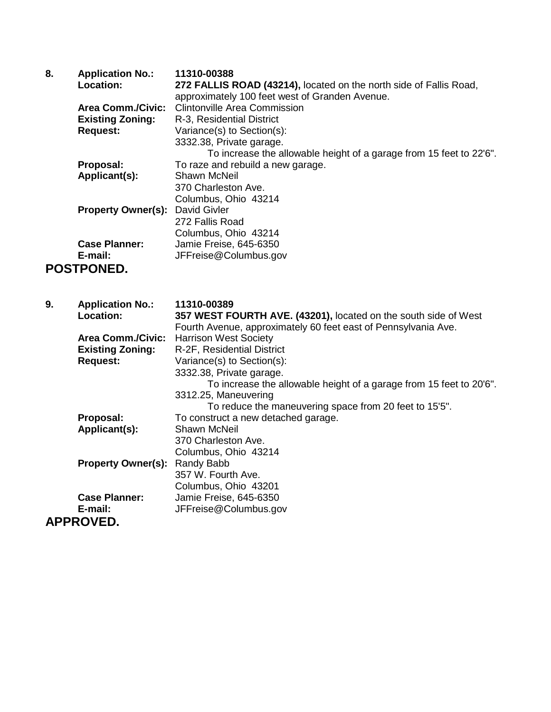| 8. | <b>Application No.:</b>   | 11310-00388                                                         |
|----|---------------------------|---------------------------------------------------------------------|
|    | Location:                 | 272 FALLIS ROAD (43214), located on the north side of Fallis Road,  |
|    |                           | approximately 100 feet west of Granden Avenue.                      |
|    | <b>Area Comm./Civic:</b>  | <b>Clintonville Area Commission</b>                                 |
|    | <b>Existing Zoning:</b>   | R-3, Residential District                                           |
|    | <b>Request:</b>           | Variance(s) to Section(s):                                          |
|    |                           | 3332.38, Private garage.                                            |
|    |                           | To increase the allowable height of a garage from 15 feet to 22'6". |
|    | Proposal:                 | To raze and rebuild a new garage.                                   |
|    | Applicant(s):             | Shawn McNeil                                                        |
|    |                           | 370 Charleston Ave.                                                 |
|    |                           | Columbus, Ohio 43214                                                |
|    | <b>Property Owner(s):</b> | David Givler                                                        |
|    |                           | 272 Fallis Road                                                     |
|    |                           | Columbus, Ohio 43214                                                |
|    | <b>Case Planner:</b>      | Jamie Freise, 645-6350                                              |
|    | E-mail:                   | JFFreise@Columbus.gov                                               |
|    | POSTPONED.                |                                                                     |
|    |                           |                                                                     |

| 9. | <b>Application No.:</b>   | 11310-00389                                                         |
|----|---------------------------|---------------------------------------------------------------------|
|    | <b>Location:</b>          | 357 WEST FOURTH AVE. (43201), located on the south side of West     |
|    |                           | Fourth Avenue, approximately 60 feet east of Pennsylvania Ave.      |
|    | <b>Area Comm./Civic:</b>  | <b>Harrison West Society</b>                                        |
|    | <b>Existing Zoning:</b>   | R-2F, Residential District                                          |
|    | <b>Request:</b>           | Variance(s) to Section(s):                                          |
|    |                           | 3332.38, Private garage.                                            |
|    |                           | To increase the allowable height of a garage from 15 feet to 20'6". |
|    |                           | 3312.25, Maneuvering                                                |
|    |                           | To reduce the maneuvering space from 20 feet to 15'5".              |
|    | Proposal:                 | To construct a new detached garage.                                 |
|    | Applicant(s):             | Shawn McNeil                                                        |
|    |                           | 370 Charleston Ave.                                                 |
|    |                           | Columbus, Ohio 43214                                                |
|    | <b>Property Owner(s):</b> | Randy Babb                                                          |
|    |                           | 357 W. Fourth Ave.                                                  |
|    |                           | Columbus, Ohio 43201                                                |
|    | <b>Case Planner:</b>      | Jamie Freise, 645-6350                                              |
|    | E-mail:                   | JFFreise@Columbus.gov                                               |
|    | <b>APPROVED.</b>          |                                                                     |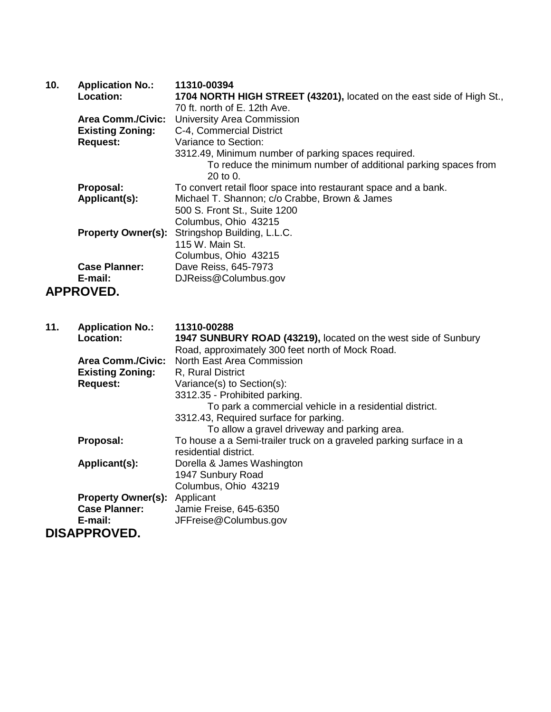| 10. | <b>Application No.:</b>   | 11310-00394                                                                                                       |
|-----|---------------------------|-------------------------------------------------------------------------------------------------------------------|
|     | <b>Location:</b>          | 1704 NORTH HIGH STREET (43201), located on the east side of High St.,                                             |
|     |                           | 70 ft. north of E. 12th Ave.                                                                                      |
|     | <b>Area Comm./Civic:</b>  | <b>University Area Commission</b>                                                                                 |
|     | <b>Existing Zoning:</b>   | C-4, Commercial District                                                                                          |
|     | <b>Request:</b>           | Variance to Section:                                                                                              |
|     |                           | 3312.49, Minimum number of parking spaces required.                                                               |
|     |                           | To reduce the minimum number of additional parking spaces from<br>20 to 0.                                        |
|     | Proposal:                 | To convert retail floor space into restaurant space and a bank.                                                   |
|     | Applicant(s):             | Michael T. Shannon; c/o Crabbe, Brown & James                                                                     |
|     |                           | 500 S. Front St., Suite 1200                                                                                      |
|     |                           | Columbus, Ohio 43215                                                                                              |
|     | <b>Property Owner(s):</b> | Stringshop Building, L.L.C.                                                                                       |
|     |                           | 115 W. Main St.                                                                                                   |
|     |                           | Columbus, Ohio 43215                                                                                              |
|     | <b>Case Planner:</b>      | Dave Reiss, 645-7973                                                                                              |
|     | E-mail:                   | DJReiss@Columbus.gov                                                                                              |
|     | <b>APPROVED.</b>          |                                                                                                                   |
|     |                           |                                                                                                                   |
| 11. | <b>Application No.:</b>   | 11310-00288                                                                                                       |
|     | <b>Location:</b>          | 1947 SUNBURY ROAD (43219), located on the west side of Sunbury<br>Road, approximately 300 feet porth of Mock Road |

|                           | Road, approximately 300 feet north of Mock Road.                   |
|---------------------------|--------------------------------------------------------------------|
| <b>Area Comm./Civic:</b>  | North East Area Commission                                         |
| <b>Existing Zoning:</b>   | R, Rural District                                                  |
| <b>Request:</b>           | Variance(s) to Section(s):                                         |
|                           | 3312.35 - Prohibited parking.                                      |
|                           | To park a commercial vehicle in a residential district.            |
|                           | 3312.43, Required surface for parking.                             |
|                           | To allow a gravel driveway and parking area.                       |
| Proposal:                 | To house a a Semi-trailer truck on a graveled parking surface in a |
|                           | residential district.                                              |
| Applicant(s):             | Dorella & James Washington                                         |
|                           | 1947 Sunbury Road                                                  |
|                           | Columbus, Ohio 43219                                               |
| <b>Property Owner(s):</b> | Applicant                                                          |
| <b>Case Planner:</b>      | Jamie Freise, 645-6350                                             |
| E-mail:                   | JFFreise@Columbus.gov                                              |
| <b>DISAPPROVED.</b>       |                                                                    |
|                           |                                                                    |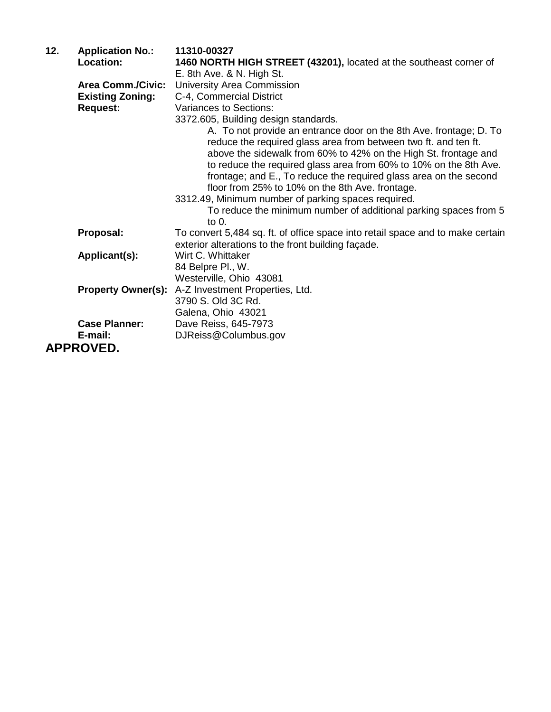| 12. | <b>Application No.:</b>   | 11310-00327                                                                                                                                                                                                                                                                                                                                                                                                                                                                                                                      |
|-----|---------------------------|----------------------------------------------------------------------------------------------------------------------------------------------------------------------------------------------------------------------------------------------------------------------------------------------------------------------------------------------------------------------------------------------------------------------------------------------------------------------------------------------------------------------------------|
|     | Location:                 | 1460 NORTH HIGH STREET (43201), located at the southeast corner of                                                                                                                                                                                                                                                                                                                                                                                                                                                               |
|     |                           | E. 8th Ave. & N. High St.                                                                                                                                                                                                                                                                                                                                                                                                                                                                                                        |
|     | <b>Area Comm./Civic:</b>  | University Area Commission                                                                                                                                                                                                                                                                                                                                                                                                                                                                                                       |
|     | <b>Existing Zoning:</b>   | C-4, Commercial District                                                                                                                                                                                                                                                                                                                                                                                                                                                                                                         |
|     | <b>Request:</b>           | Variances to Sections:                                                                                                                                                                                                                                                                                                                                                                                                                                                                                                           |
|     |                           | 3372.605, Building design standards.                                                                                                                                                                                                                                                                                                                                                                                                                                                                                             |
|     |                           | A. To not provide an entrance door on the 8th Ave. frontage; D. To<br>reduce the required glass area from between two ft. and ten ft.<br>above the sidewalk from 60% to 42% on the High St. frontage and<br>to reduce the required glass area from 60% to 10% on the 8th Ave.<br>frontage; and E., To reduce the required glass area on the second<br>floor from 25% to 10% on the 8th Ave. frontage.<br>3312.49, Minimum number of parking spaces required.<br>To reduce the minimum number of additional parking spaces from 5 |
|     |                           | to $0.$                                                                                                                                                                                                                                                                                                                                                                                                                                                                                                                          |
|     | Proposal:                 | To convert 5,484 sq. ft. of office space into retail space and to make certain                                                                                                                                                                                                                                                                                                                                                                                                                                                   |
|     | Applicant(s):             | exterior alterations to the front building façade.<br>Wirt C. Whittaker                                                                                                                                                                                                                                                                                                                                                                                                                                                          |
|     |                           | 84 Belpre Pl., W.                                                                                                                                                                                                                                                                                                                                                                                                                                                                                                                |
|     |                           | Westerville, Ohio 43081                                                                                                                                                                                                                                                                                                                                                                                                                                                                                                          |
|     | <b>Property Owner(s):</b> | A-Z Investment Properties, Ltd.                                                                                                                                                                                                                                                                                                                                                                                                                                                                                                  |
|     |                           | 3790 S. Old 3C Rd.                                                                                                                                                                                                                                                                                                                                                                                                                                                                                                               |
|     |                           | Galena, Ohio 43021                                                                                                                                                                                                                                                                                                                                                                                                                                                                                                               |
|     | <b>Case Planner:</b>      | Dave Reiss, 645-7973                                                                                                                                                                                                                                                                                                                                                                                                                                                                                                             |
|     | E-mail:                   | DJReiss@Columbus.gov                                                                                                                                                                                                                                                                                                                                                                                                                                                                                                             |
|     | <b>APPROVED.</b>          |                                                                                                                                                                                                                                                                                                                                                                                                                                                                                                                                  |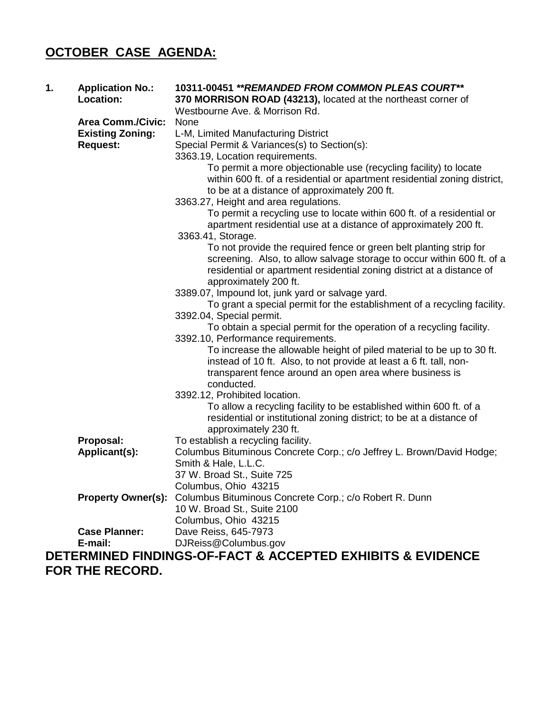## **OCTOBER CASE AGENDA:**

| 1. | <b>Application No.:</b><br>Location: | 10311-00451 ** REMANDED FROM COMMON PLEAS COURT**<br>370 MORRISON ROAD (43213), located at the northeast corner of<br>Westbourne Ave. & Morrison Rd.                                                                                           |
|----|--------------------------------------|------------------------------------------------------------------------------------------------------------------------------------------------------------------------------------------------------------------------------------------------|
|    | <b>Area Comm./Civic:</b>             | None                                                                                                                                                                                                                                           |
|    | <b>Existing Zoning:</b>              | L-M, Limited Manufacturing District                                                                                                                                                                                                            |
|    | <b>Request:</b>                      | Special Permit & Variances(s) to Section(s):                                                                                                                                                                                                   |
|    |                                      | 3363.19, Location requirements.                                                                                                                                                                                                                |
|    |                                      | To permit a more objectionable use (recycling facility) to locate<br>within 600 ft. of a residential or apartment residential zoning district,<br>to be at a distance of approximately 200 ft.                                                 |
|    |                                      | 3363.27, Height and area regulations.                                                                                                                                                                                                          |
|    |                                      | To permit a recycling use to locate within 600 ft. of a residential or<br>apartment residential use at a distance of approximately 200 ft.                                                                                                     |
|    |                                      | 3363.41, Storage.                                                                                                                                                                                                                              |
|    |                                      | To not provide the required fence or green belt planting strip for<br>screening. Also, to allow salvage storage to occur within 600 ft. of a<br>residential or apartment residential zoning district at a distance of<br>approximately 200 ft. |
|    |                                      | 3389.07, Impound lot, junk yard or salvage yard.                                                                                                                                                                                               |
|    |                                      | To grant a special permit for the establishment of a recycling facility.                                                                                                                                                                       |
|    |                                      | 3392.04, Special permit.                                                                                                                                                                                                                       |
|    |                                      | To obtain a special permit for the operation of a recycling facility.                                                                                                                                                                          |
|    |                                      | 3392.10, Performance requirements.                                                                                                                                                                                                             |
|    |                                      | To increase the allowable height of piled material to be up to 30 ft.<br>instead of 10 ft. Also, to not provide at least a 6 ft. tall, non-                                                                                                    |
|    |                                      | transparent fence around an open area where business is<br>conducted.                                                                                                                                                                          |
|    |                                      | 3392.12, Prohibited location.                                                                                                                                                                                                                  |
|    |                                      | To allow a recycling facility to be established within 600 ft. of a<br>residential or institutional zoning district; to be at a distance of<br>approximately 230 ft.                                                                           |
|    | Proposal:                            | To establish a recycling facility.                                                                                                                                                                                                             |
|    | Applicant(s):                        | Columbus Bituminous Concrete Corp.; c/o Jeffrey L. Brown/David Hodge;                                                                                                                                                                          |
|    |                                      | Smith & Hale, L.L.C.                                                                                                                                                                                                                           |
|    |                                      | 37 W. Broad St., Suite 725                                                                                                                                                                                                                     |
|    |                                      | Columbus, Ohio 43215                                                                                                                                                                                                                           |
|    | <b>Property Owner(s):</b>            | Columbus Bituminous Concrete Corp.; c/o Robert R. Dunn                                                                                                                                                                                         |
|    |                                      | 10 W. Broad St., Suite 2100                                                                                                                                                                                                                    |
|    | <b>Case Planner:</b>                 | Columbus, Ohio 43215<br>Dave Reiss, 645-7973                                                                                                                                                                                                   |
|    | E-mail:                              | DJReiss@Columbus.gov                                                                                                                                                                                                                           |
|    |                                      | DETERMINED FINDINGS-OF-FACT & ACCEPTED EXHIBITS & EVIDENCE                                                                                                                                                                                     |
|    | <b>FAR TUE BECARD</b>                |                                                                                                                                                                                                                                                |

**FOR THE RECORD.**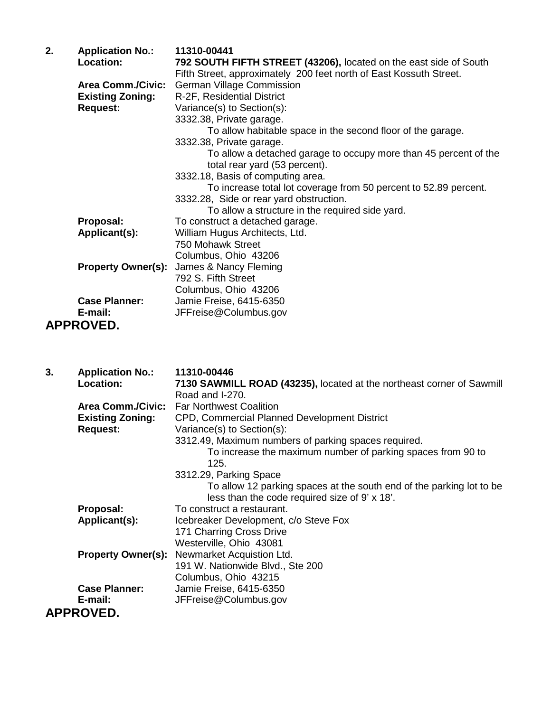| 2. | <b>Application No.:</b>   | 11310-00441                                                                                       |
|----|---------------------------|---------------------------------------------------------------------------------------------------|
|    | <b>Location:</b>          | 792 SOUTH FIFTH STREET (43206), located on the east side of South                                 |
|    |                           | Fifth Street, approximately 200 feet north of East Kossuth Street.                                |
|    | <b>Area Comm./Civic:</b>  | <b>German Village Commission</b>                                                                  |
|    | <b>Existing Zoning:</b>   | R-2F, Residential District                                                                        |
|    | <b>Request:</b>           | Variance(s) to Section(s):                                                                        |
|    |                           | 3332.38, Private garage.                                                                          |
|    |                           | To allow habitable space in the second floor of the garage.                                       |
|    |                           | 3332.38, Private garage.                                                                          |
|    |                           | To allow a detached garage to occupy more than 45 percent of the<br>total rear yard (53 percent). |
|    |                           | 3332.18, Basis of computing area.                                                                 |
|    |                           | To increase total lot coverage from 50 percent to 52.89 percent.                                  |
|    |                           | 3332.28, Side or rear yard obstruction.                                                           |
|    |                           | To allow a structure in the required side yard.                                                   |
|    | Proposal:                 | To construct a detached garage.                                                                   |
|    | Applicant(s):             | William Hugus Architects, Ltd.                                                                    |
|    |                           | 750 Mohawk Street                                                                                 |
|    |                           | Columbus, Ohio 43206                                                                              |
|    | <b>Property Owner(s):</b> | James & Nancy Fleming                                                                             |
|    |                           | 792 S. Fifth Street                                                                               |
|    |                           | Columbus, Ohio 43206                                                                              |
|    | <b>Case Planner:</b>      | Jamie Freise, 6415-6350                                                                           |
|    | E-mail:                   | JFFreise@Columbus.gov                                                                             |

#### **APPROVED.**

| 3. | <b>Application No.:</b>   | 11310-00446                                                           |
|----|---------------------------|-----------------------------------------------------------------------|
|    | <b>Location:</b>          | 7130 SAWMILL ROAD (43235), located at the northeast corner of Sawmill |
|    |                           | Road and I-270.                                                       |
|    |                           | Area Comm./Civic: Far Northwest Coalition                             |
|    | <b>Existing Zoning:</b>   | CPD, Commercial Planned Development District                          |
|    | <b>Request:</b>           | Variance(s) to Section(s):                                            |
|    |                           | 3312.49, Maximum numbers of parking spaces required.                  |
|    |                           | To increase the maximum number of parking spaces from 90 to           |
|    |                           | 125.                                                                  |
|    |                           | 3312.29, Parking Space                                                |
|    |                           | To allow 12 parking spaces at the south end of the parking lot to be  |
|    |                           | less than the code required size of 9' x 18'.                         |
|    | Proposal:                 | To construct a restaurant.                                            |
|    | Applicant(s):             | Icebreaker Development, c/o Steve Fox                                 |
|    |                           | 171 Charring Cross Drive                                              |
|    |                           | Westerville, Ohio 43081                                               |
|    | <b>Property Owner(s):</b> | Newmarket Acquistion Ltd.                                             |
|    |                           | 191 W. Nationwide Blvd., Ste 200                                      |
|    |                           | Columbus, Ohio 43215                                                  |
|    | <b>Case Planner:</b>      | Jamie Freise, 6415-6350                                               |
|    | E-mail:                   | JFFreise@Columbus.gov                                                 |
|    | <b>APPROVED.</b>          |                                                                       |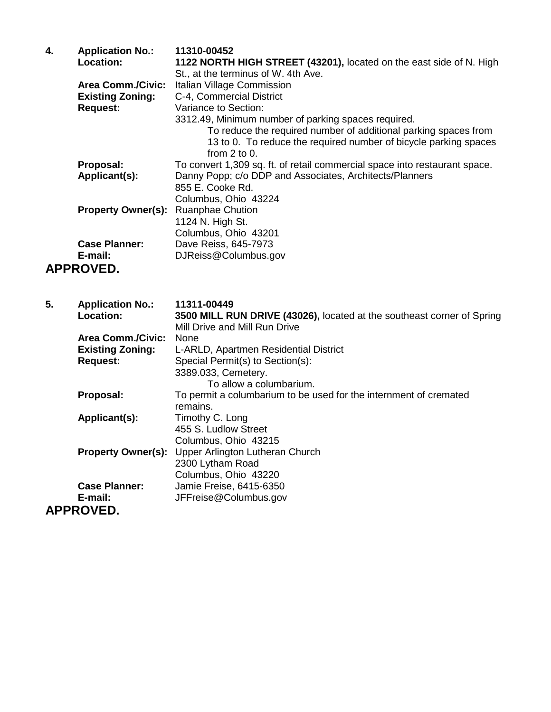| 4. | <b>Application No.:</b><br>Location: | 11310-00452<br>1122 NORTH HIGH STREET (43201), located on the east side of N. High<br>St., at the terminus of W. 4th Ave.                                |
|----|--------------------------------------|----------------------------------------------------------------------------------------------------------------------------------------------------------|
|    | <b>Area Comm./Civic:</b>             | Italian Village Commission                                                                                                                               |
|    | <b>Existing Zoning:</b>              | C-4, Commercial District                                                                                                                                 |
|    | <b>Request:</b>                      | Variance to Section:                                                                                                                                     |
|    |                                      | 3312.49, Minimum number of parking spaces required.                                                                                                      |
|    |                                      | To reduce the required number of additional parking spaces from<br>13 to 0. To reduce the required number of bicycle parking spaces<br>from $2$ to $0$ . |
|    | Proposal:                            | To convert 1,309 sq. ft. of retail commercial space into restaurant space.                                                                               |
|    | Applicant(s):                        | Danny Popp; c/o DDP and Associates, Architects/Planners                                                                                                  |
|    |                                      | 855 E. Cooke Rd.                                                                                                                                         |
|    |                                      | Columbus, Ohio 43224                                                                                                                                     |
|    | <b>Property Owner(s):</b>            | <b>Ruanphae Chution</b>                                                                                                                                  |
|    |                                      | 1124 N. High St.                                                                                                                                         |
|    |                                      | Columbus, Ohio 43201                                                                                                                                     |
|    | <b>Case Planner:</b>                 | Dave Reiss, 645-7973                                                                                                                                     |
|    | E-mail:                              | DJReiss@Columbus.gov                                                                                                                                     |
|    | <b>APPROVED.</b>                     |                                                                                                                                                          |
| 5. | <b>Application No.:</b>              | 11311-00449                                                                                                                                              |
|    | Location:                            | 3500 MILL RUN DRIVE (43026), located at the southeast corner of Spring<br>Mill Drive and Mill Run Drive                                                  |

|                           | Mill Drive and Mill Run Drive                                     |
|---------------------------|-------------------------------------------------------------------|
| <b>Area Comm./Civic:</b>  | <b>None</b>                                                       |
| <b>Existing Zoning:</b>   | L-ARLD, Apartmen Residential District                             |
| <b>Request:</b>           | Special Permit(s) to Section(s):                                  |
|                           | 3389.033, Cemetery.                                               |
|                           | To allow a columbarium.                                           |
| Proposal:                 | To permit a columbarium to be used for the internment of cremated |
|                           | remains.                                                          |
| Applicant(s):             | Timothy C. Long                                                   |
|                           | 455 S. Ludlow Street                                              |
|                           | Columbus, Ohio 43215                                              |
| <b>Property Owner(s):</b> | Upper Arlington Lutheran Church                                   |
|                           | 2300 Lytham Road                                                  |
|                           | Columbus, Ohio 43220                                              |
| <b>Case Planner:</b>      | Jamie Freise, 6415-6350                                           |
| E-mail:                   | JFFreise@Columbus.gov                                             |
| APPROVED.                 |                                                                   |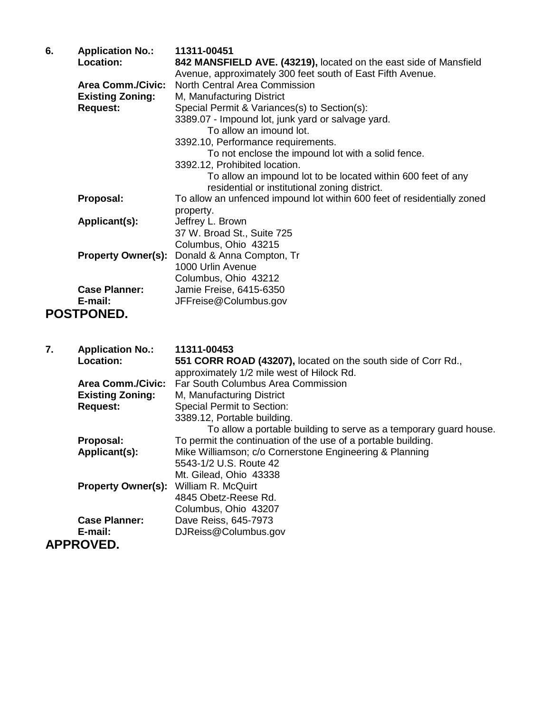| 6. | <b>Application No.:</b><br>Location:       | 11311-00451<br>842 MANSFIELD AVE. (43219), located on the east side of Mansfield<br>Avenue, approximately 300 feet south of East Fifth Avenue. |
|----|--------------------------------------------|------------------------------------------------------------------------------------------------------------------------------------------------|
|    | <b>Area Comm./Civic:</b>                   | North Central Area Commission                                                                                                                  |
|    | <b>Existing Zoning:</b>                    | M, Manufacturing District                                                                                                                      |
|    | <b>Request:</b>                            | Special Permit & Variances(s) to Section(s):                                                                                                   |
|    |                                            | 3389.07 - Impound lot, junk yard or salvage yard.                                                                                              |
|    |                                            | To allow an imound lot.                                                                                                                        |
|    |                                            | 3392.10, Performance requirements.                                                                                                             |
|    |                                            | To not enclose the impound lot with a solid fence.                                                                                             |
|    |                                            | 3392.12, Prohibited location.                                                                                                                  |
|    |                                            | To allow an impound lot to be located within 600 feet of any                                                                                   |
|    |                                            | residential or institutional zoning district.                                                                                                  |
|    | Proposal:                                  | To allow an unfenced impound lot within 600 feet of residentially zoned                                                                        |
|    |                                            | property.                                                                                                                                      |
|    | Applicant(s):                              | Jeffrey L. Brown                                                                                                                               |
|    |                                            | 37 W. Broad St., Suite 725                                                                                                                     |
|    |                                            | Columbus, Ohio 43215                                                                                                                           |
|    | <b>Property Owner(s):</b>                  | Donald & Anna Compton, Tr                                                                                                                      |
|    |                                            | 1000 Urlin Avenue                                                                                                                              |
|    |                                            | Columbus, Ohio 43212                                                                                                                           |
|    | <b>Case Planner:</b>                       | Jamie Freise, 6415-6350                                                                                                                        |
|    | E-mail:                                    | JFFreise@Columbus.gov                                                                                                                          |
|    | <b>POSTPONED.</b>                          |                                                                                                                                                |
|    |                                            |                                                                                                                                                |
|    |                                            |                                                                                                                                                |
| 7. | <b>Application No.:</b>                    | 11311-00453                                                                                                                                    |
|    | Location:                                  | 551 CORR ROAD (43207), located on the south side of Corr Rd.,                                                                                  |
|    |                                            | approximately 1/2 mile west of Hilock Rd.                                                                                                      |
|    |                                            |                                                                                                                                                |
|    |                                            |                                                                                                                                                |
|    | <b>Area Comm./Civic:</b>                   | Far South Columbus Area Commission                                                                                                             |
|    | <b>Existing Zoning:</b><br><b>Request:</b> | M, Manufacturing District<br><b>Special Permit to Section:</b>                                                                                 |

**Proposal:** To permit the continuation of the use of a portable building.<br>**Applicant(s):** Mike Williamson; c/o Cornerstone Engineering & Planning

5543-1/2 U.S. Route 42 Mt. Gilead, Ohio 43338

4845 Obetz-Reese Rd. Columbus, Ohio 43207

**E-mail:** DJReiss@Columbus.gov

**Property Owner(s):** William R. McQuirt

Mike Williamson; c/o Cornerstone Engineering & Planning

To allow a portable building to serve as a temporary guard house.

**Case Planner:** Dave Reiss, 645-7973<br> **E-mail:** DJReiss@Columbus.qu **APPROVED.**